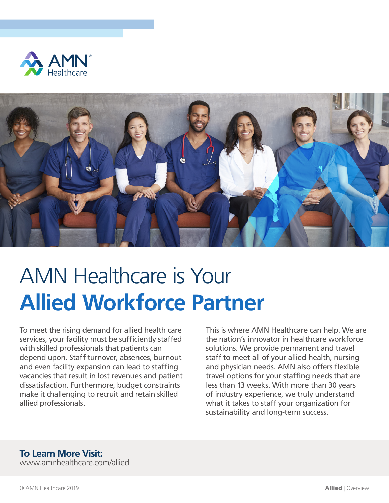



# AMN Healthcare is Your **Allied Workforce Partner**

To meet the rising demand for allied health care services, your facility must be sufficiently staffed with skilled professionals that patients can depend upon. Staff turnover, absences, burnout and even facility expansion can lead to staffing vacancies that result in lost revenues and patient dissatisfaction. Furthermore, budget constraints make it challenging to recruit and retain skilled allied professionals.

This is where AMN Healthcare can help. We are the nation's innovator in healthcare workforce solutions. We provide permanent and travel staff to meet all of your allied health, nursing and physician needs. AMN also offers flexible travel options for your staffing needs that are less than 13 weeks. With more than 30 years of industry experience, we truly understand what it takes to staff your organization for sustainability and long-term success.

### **To Learn More Visit:**

www.amnhealthcare.com/allied